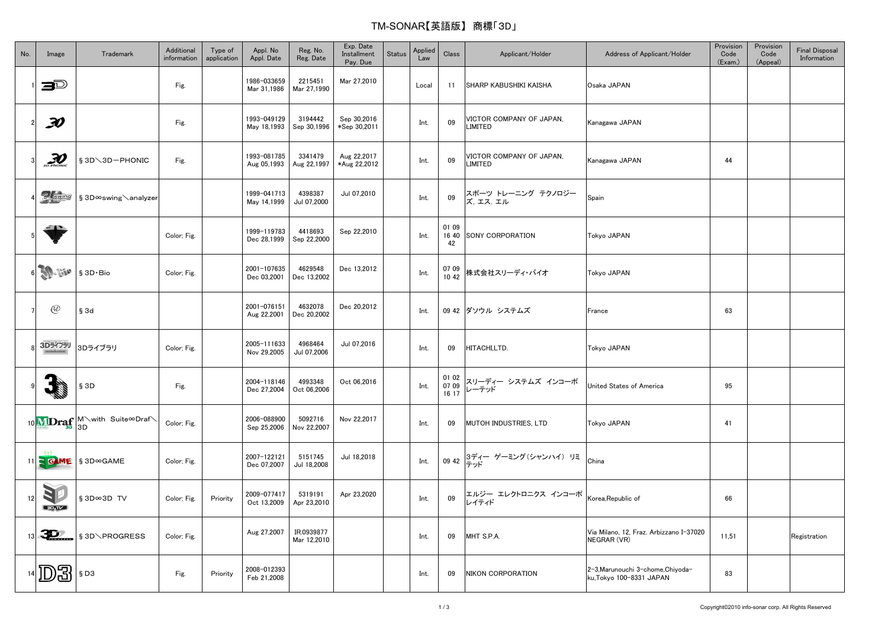## TM-SONAR【英語版】 商標「3D」

| No. | Image                       | Trademark                                     | Additional<br>information | Type of<br>application | Appl. No<br>Appl. Date     | Reg. No.<br>Reg. Date     | Exp. Date<br>Installment<br>Pay. Due | <b>Status</b> | Applied<br>Law | Class                   | Applicant/Holder                    | Address of Applicant/Holder                                   | Provision<br>Code<br>(Exam.) | Provision<br>Code<br>(Appeal) | <b>Final Disposal</b><br>Information |
|-----|-----------------------------|-----------------------------------------------|---------------------------|------------------------|----------------------------|---------------------------|--------------------------------------|---------------|----------------|-------------------------|-------------------------------------|---------------------------------------------------------------|------------------------------|-------------------------------|--------------------------------------|
|     | ð                           |                                               | Fig.                      |                        | 1986-033659<br>Mar 31,1986 | 2215451<br>Mar 27,1990    | Mar 27,2010                          |               | Local          | 11                      | <b>SHARP KABUSHIKI KAISHA</b>       | Osaka JAPAN                                                   |                              |                               |                                      |
|     | F)                          |                                               | Fig.                      |                        | 1993-049129<br>May 18,1993 | 3194442<br>Sep 30,1996    | Sep 30,2016<br>*Sep 30,2011          |               | Int.           | 09                      | VICTOR COMPANY OF JAPAN,<br>LIMITED | Kanagawa JAPAN                                                |                              |                               |                                      |
|     | $\mathcal{D}$               | § 3D \ 3D - PHONIC                            | Fig.                      |                        | 1993-081785<br>Aug 05,1993 | 3341479<br>Aug 22,1997    | Aug 22,2017<br>*Aug 22,2012          |               | Int.           | 09                      | VICTOR COMPANY OF JAPAN,<br>LIMITED | Kanagawa JAPAN                                                | 44                           |                               |                                      |
|     | <b>Buting</b>               | § 3D∞swing \analyzer                          |                           |                        | 1999-041713<br>May 14,1999 | 4398387<br>Jul 07,2000    | Jul 07,2010                          |               | Int.           | 09                      | スポーツ トレーニング テクノロジー<br>ズ,エス,エル       | Spain                                                         |                              |                               |                                      |
|     | <b>All State</b>            |                                               | Color; Fig.               |                        | 1999-119783<br>Dec 28,1999 | 4418693<br>Sep 22,2000    | Sep 22,2010                          |               | Int.           | 01 09<br>16 40<br>42    | SONY CORPORATION                    | Tokyo JAPAN                                                   |                              |                               |                                      |
|     | <b>AD-Live</b>              | § 3D Bio                                      | Color; Fig.               |                        | 2001-107635<br>Dec 03,2001 | 4629548<br>Dec 13,2002    | Dec 13,2012                          |               | Int.           | 07 09<br>10 42          | 株式会社スリーディ・バイオ                       | Tokyo JAPAN                                                   |                              |                               |                                      |
|     | $\bigcircled{d}$            | § 3d                                          |                           |                        | 2001-076151<br>Aug 22,2001 | 4632078<br>Dec 20,2002    | Dec 20.2012                          |               | Int.           |                         | 09 42 ダソウル システムズ                    | France                                                        | 63                           |                               |                                      |
|     | 3Dライブラリ                     | 3Dライブラリ                                       | Color; Fig.               |                        | 2005-111633<br>Nov 29,2005 | 4968464<br>Jul 07,2006    | Jul 07,2016                          |               | Int.           | 09                      | HITACHI,LTD.                        | Tokyo JAPAN                                                   |                              |                               |                                      |
|     |                             | §3D                                           | Fig.                      |                        | 2004-118146<br>Dec 27,2004 | 4993348<br>Oct 06,2006    | Oct 06,2016                          |               | Int.           | 01 02<br>07 09<br>16 17 | スリーディー システムズ インコーポ<br>レーテッド         | United States of America                                      | 95                           |                               |                                      |
|     |                             | 10 MDraf M with Suite <sup>oDraf</sup>        | Color; Fig.               |                        | 2006-088900<br>Sep 25,2006 | 5092716<br>Nov 22,2007    | Nov 22,2017                          |               | Int.           | 09                      | <b>MUTOH INDUSTRIES, LTD</b>        | Tokyo JAPAN                                                   | 41                           |                               |                                      |
|     |                             | $11 \leq$ G ME $\frac{1}{3}$ SD $\infty$ GAME | Color; Fig.               |                        | 2007-122121<br>Dec 07,2007 | 5151745<br>Jul 18,2008    | Jul 18,2018                          |               | Int.           |                         | 09 42 オイー ゲーミング(シャンハイ) リミ           | China                                                         |                              |                               |                                      |
| 12  | 1<br>$\Box_{\mathbb{A}}$ DE | § 3D∞3D TV                                    | Color; Fig.               | Priority               | 2009-077417<br>Oct 13,2009 | 5319191<br>Apr 23,2010    | Apr 23,2020                          |               | Int.           | 09                      | エルジー エレクトロニクス インコーポ<br>レイティド        | Korea.Republic of                                             | 66                           |                               |                                      |
| 13  | 30                          | § 3D\PROGRESS                                 | Color; Fig.               |                        | Aug 27,2007                | IR.0939877<br>Mar 12,2010 |                                      |               | Int.           | 09                      | MHT S.P.A.                          | Via Milano, 12, Fraz. Arbizzano I-37020<br>NEGRAR (VR)        | 11,51                        |                               | Registration                         |
|     | D3                          | §D3                                           | Fig.                      | Priority               | 2008-012393<br>Feb 21,2008 |                           |                                      |               | Int.           | 09                      | <b>NIKON CORPORATION</b>            | 2-3, Marunouchi 3-chome, Chiyoda-<br>ku, Tokyo 100-8331 JAPAN | 83                           |                               |                                      |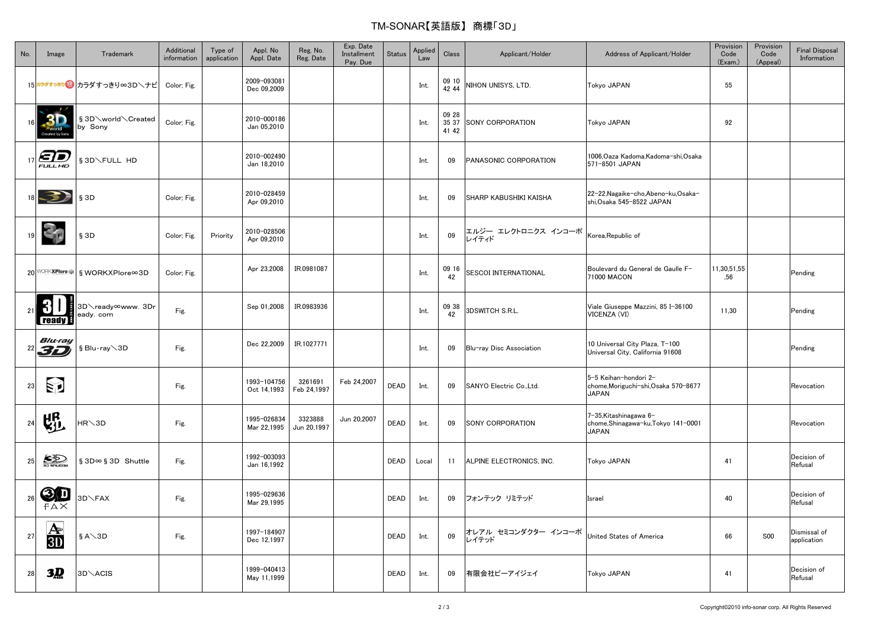## TM-SONAR【英語版】 商標「3D」

| No. | Image                                | Trademark                                  | Additional<br>information | Type of<br>application | Appl. No<br>Appl. Date     | Reg. No.<br>Reg. Date  | Exp. Date<br>Installment<br>Pay. Due | <b>Status</b> | Applied<br>Law | Class                   | Applicant/Holder             | Address of Applicant/Holder                                                   | Provision<br>Code<br>(Exam.) | Provision<br>Code<br>(Appeal) | <b>Final Disposal</b><br>Information |
|-----|--------------------------------------|--------------------------------------------|---------------------------|------------------------|----------------------------|------------------------|--------------------------------------|---------------|----------------|-------------------------|------------------------------|-------------------------------------------------------------------------------|------------------------------|-------------------------------|--------------------------------------|
|     |                                      | 15 カラダすっきり カラダすっきり∞3D\ナビ                   | Color; Fig.               |                        | 2009-093081<br>Dec 09,2009 |                        |                                      |               | Int.           | 09 10<br>42 44          | NIHON UNISYS, LTD.           | Tokyo JAPAN                                                                   | 55                           |                               |                                      |
|     | 3D                                   | § 3D \world \Created<br>by Sony            | Color; Fig.               |                        | 2010-000186<br>Jan 05,2010 |                        |                                      |               | Int.           | 09 28<br>35 37<br>41 42 | SONY CORPORATION             | <b>Tokyo JAPAN</b>                                                            | 92                           |                               |                                      |
|     | $\bigoplus_{\mathcal{F}}\mathcal{D}$ | § 3D\FULL HD                               |                           |                        | 2010-002490<br>Jan 18,2010 |                        |                                      |               | Int.           | 09                      | PANASONIC CORPORATION        | 1006, Oaza Kadoma, Kadoma-shi, Osaka<br>571-8501 JAPAN                        |                              |                               |                                      |
|     | 3.                                   | $§$ 3D                                     | Color; Fig.               |                        | 2010-028459<br>Apr 09,2010 |                        |                                      |               | Int.           | 09                      | SHARP KABUSHIKI KAISHA       | 22-22, Nagaike-cho, Abeno-ku, Osaka-<br>shi, Osaka 545-8522 JAPAN             |                              |                               |                                      |
|     | $\mathbf{C}_{\mathbf{f}}$            | § 3D                                       | Color; Fig.               | Priority               | 2010-028506<br>Apr 09,2010 |                        |                                      |               | Int.           | 09                      | エルジー エレクトロニクス インコーポ<br>レイティド | Korea, Republic of                                                            |                              |                               |                                      |
|     |                                      | 20 <sup>WORKXPlare S</sup> § WORKXPlore∞3D | Color; Fig.               |                        | Apr 23,2008                | IR.0981087             |                                      |               | Int.           | 09 16<br>42             | <b>SESCOI INTERNATIONAL</b>  | Boulevard du General de Gaulle F-<br>71000 MACON                              | 11,30,51,55<br>,56           |                               | Pending                              |
|     | $\mathbf{\Phi}$<br>ready             | 3D∕ready∞www. 3Dr<br>eady. com             | Fig.                      |                        | Sep 01,2008                | IR.0983936             |                                      |               | Int.           | 09 38<br>42             | <b>3DSWITCH S.R.L.</b>       | Viale Giuseppe Mazzini, 85 I-36100<br>VICENZA (VI)                            | 11,30                        |                               | Pending                              |
|     | Blu-ray<br>$^{22}$ 3D                | § Blu-ray \3D                              | Fig.                      |                        | Dec 22,2009                | IR.1027771             |                                      |               | Int.           | 09                      | Blu-ray Disc Association     | 10 Universal City Plaza, T-100<br>Universal City, California 91608            |                              |                               | Pending                              |
| 23  | <b>E</b>                             |                                            | Fig.                      |                        | 1993-104756<br>Oct 14,1993 | 3261691<br>Feb 24,1997 | Feb 24,2007                          | <b>DEAD</b>   | Int.           | 09                      | SANYO Electric Co., Ltd.     | 5-5 Keihan-hondori 2-<br>chome, Moriguchi-shi, Osaka 570-8677<br><b>JAPAN</b> |                              |                               | Revocation                           |
| 24  | 塭                                    | $AR\$ 3D                                   | Fig.                      |                        | 1995-026834<br>Mar 22,1995 | 3323888<br>Jun 20,1997 | Jun 20,2007                          | <b>DEAD</b>   | Int.           | 09                      | SONY CORPORATION             | 7-35, Kitashinagawa 6-<br>chome, Shinagawa-ku, Tokyo 141-0001<br><b>JAPAN</b> |                              |                               | Revocation                           |
| 25  | <b>SD</b>                            | § 3D∞ § 3D Shuttle                         | Fig.                      |                        | 1992-003093<br>Jan 16,1992 |                        |                                      | <b>DEAD</b>   | Local          | 11                      | ALPINE ELECTRONICS, INC.     | Tokyo JAPAN                                                                   | 41                           |                               | Decision of<br>Refusal               |
| 26  | <b>3D</b><br>FAX                     | <b>BD</b> \FAX                             | Fig.                      |                        | 1995-029636<br>Mar 29,1995 |                        |                                      | <b>DEAD</b>   | Int.           | 09                      | フォンテック リミテッド                 | Israel                                                                        | 40                           |                               | Decision of<br>Refusal               |
| 27  | $\overline{\mathbf{A}}$<br>3D        | $S A \setminus 3D$                         | Fig.                      |                        | 1997-184907<br>Dec 12,1997 |                        |                                      | DEAD          | Int.           | 09                      | オレアル セミコンダクター インコーポ<br>レイテッド | United States of America                                                      | 66                           | <b>S00</b>                    | Dismissal of<br>application          |
| 28  | 3 <u>D</u>                           | 3D\ACIS                                    |                           |                        | 1999-040413<br>May 11,1999 |                        |                                      | <b>DEAD</b>   | Int.           | 09                      | 有限会社ピーアイジェイ                  | <b>Tokyo JAPAN</b>                                                            | 41                           |                               | Decision of<br>Refusal               |